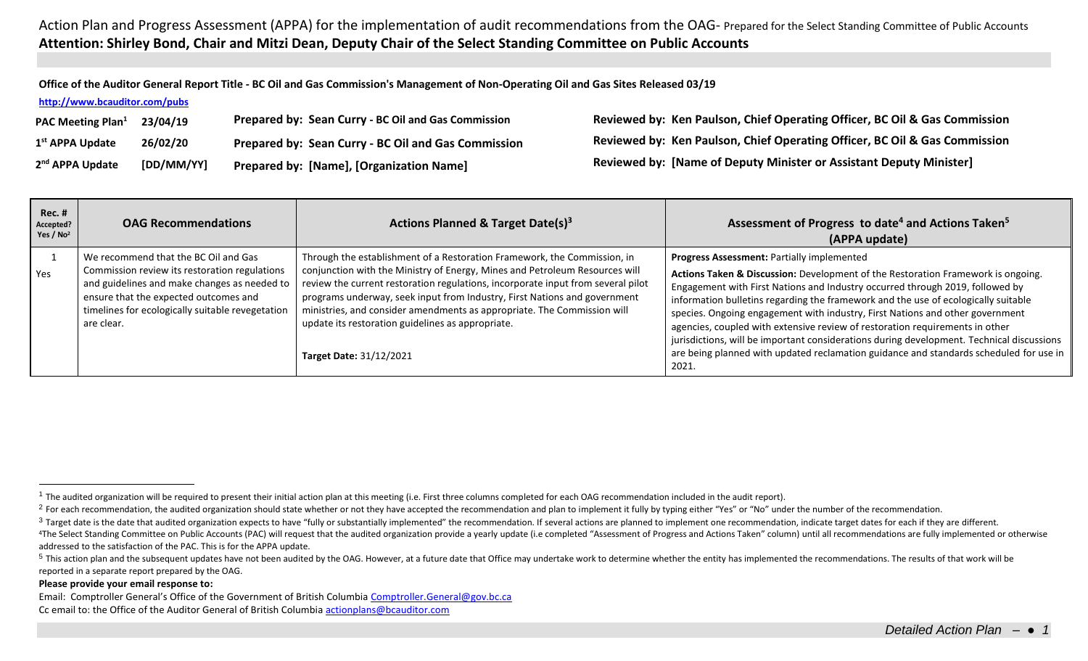**Office of the Auditor General Report Title - BC Oil and Gas Commission's Management of Non-Operating Oil and Gas Sites Released 03/19**

**<http://www.bcauditor.com/pubs>**

| PAC Meeting Plan <sup>1</sup> | 23/04/19   | Prepared by: Sean Curry - BC Oil and Gas Commission | Reviewed by: Ken Paulson, Chief Operating Officer, BC Oil & Gas Commission |
|-------------------------------|------------|-----------------------------------------------------|----------------------------------------------------------------------------|
| 1 <sup>st</sup> APPA Update   | 26/02/20   | Prepared by: Sean Curry - BC Oil and Gas Commission | Reviewed by: Ken Paulson, Chief Operating Officer, BC Oil & Gas Commission |
| 2 <sup>nd</sup> APPA Update   | [DD/MM/YY] | Prepared by: [Name], [Organization Name]            | Reviewed by: [Name of Deputy Minister or Assistant Deputy Minister]        |

| $Rec.$ #<br>Accepted?<br>Yes / $No2$ | <b>OAG Recommendations</b>                                                                                                                                                                                                                       | Actions Planned & Target Date(s) <sup>3</sup>                                                                                                                                                                                                                                                                                                                                                                                                                                              | Assessment of Progress to date <sup>4</sup> and Actions Taken <sup>5</sup><br>(APPA update)                                                                                                                                                                                                                                                                                                                                                                                                                                                                                                                                                                            |
|--------------------------------------|--------------------------------------------------------------------------------------------------------------------------------------------------------------------------------------------------------------------------------------------------|--------------------------------------------------------------------------------------------------------------------------------------------------------------------------------------------------------------------------------------------------------------------------------------------------------------------------------------------------------------------------------------------------------------------------------------------------------------------------------------------|------------------------------------------------------------------------------------------------------------------------------------------------------------------------------------------------------------------------------------------------------------------------------------------------------------------------------------------------------------------------------------------------------------------------------------------------------------------------------------------------------------------------------------------------------------------------------------------------------------------------------------------------------------------------|
| Yes                                  | We recommend that the BC Oil and Gas<br>Commission review its restoration regulations<br>and guidelines and make changes as needed to<br>ensure that the expected outcomes and<br>timelines for ecologically suitable revegetation<br>are clear. | Through the establishment of a Restoration Framework, the Commission, in<br>conjunction with the Ministry of Energy, Mines and Petroleum Resources will<br>review the current restoration regulations, incorporate input from several pilot<br>programs underway, seek input from Industry, First Nations and government<br>ministries, and consider amendments as appropriate. The Commission will<br>update its restoration guidelines as appropriate.<br><b>Target Date: 31/12/2021</b> | Progress Assessment: Partially implemented<br>Actions Taken & Discussion: Development of the Restoration Framework is ongoing.<br>Engagement with First Nations and Industry occurred through 2019, followed by<br>information bulletins regarding the framework and the use of ecologically suitable<br>species. Ongoing engagement with industry, First Nations and other government<br>agencies, coupled with extensive review of restoration requirements in other<br>jurisdictions, will be important considerations during development. Technical discussions<br>are being planned with updated reclamation guidance and standards scheduled for use in<br>2021. |

**Please provide your email response to:**

 $\overline{a}$ 

Email: Comptroller General's Office of the Government of British Columbia [Comptroller.General@gov.bc.ca](mailto:Comptroller.General@gov.bc.ca) Cc email to: the Office of the Auditor General of British Columbi[a actionplans@bcauditor.com](mailto:actionplans@bcauditor.com)

 $1$  The audited organization will be required to present their initial action plan at this meeting (i.e. First three columns completed for each OAG recommendation included in the audit report).

<sup>&</sup>lt;sup>2</sup> For each recommendation, the audited organization should state whether or not they have accepted the recommendation and plan to implement it fully by typing either "Yes" or "No" under the number of the recommendation.

<sup>&</sup>lt;sup>3</sup> Target date is the date that audited organization expects to have "fully or substantially implemented" the recommendation. If several actions are planned to implement one recommendation, indicate target dates for each

<sup>&</sup>lt;sup>4</sup>The Select Standing Committee on Public Accounts (PAC) will request that the audited organization provide a yearly update (i.e completed "Assessment of Progress and Actions Taken" column) until all recommendations are f addressed to the satisfaction of the PAC. This is for the APPA update.

<sup>&</sup>lt;sup>5</sup> This action plan and the subsequent updates have not been audited by the OAG. However, at a future date that Office may undertake work to determine whether the entity has implemented the recommendations. The results of reported in a separate report prepared by the OAG.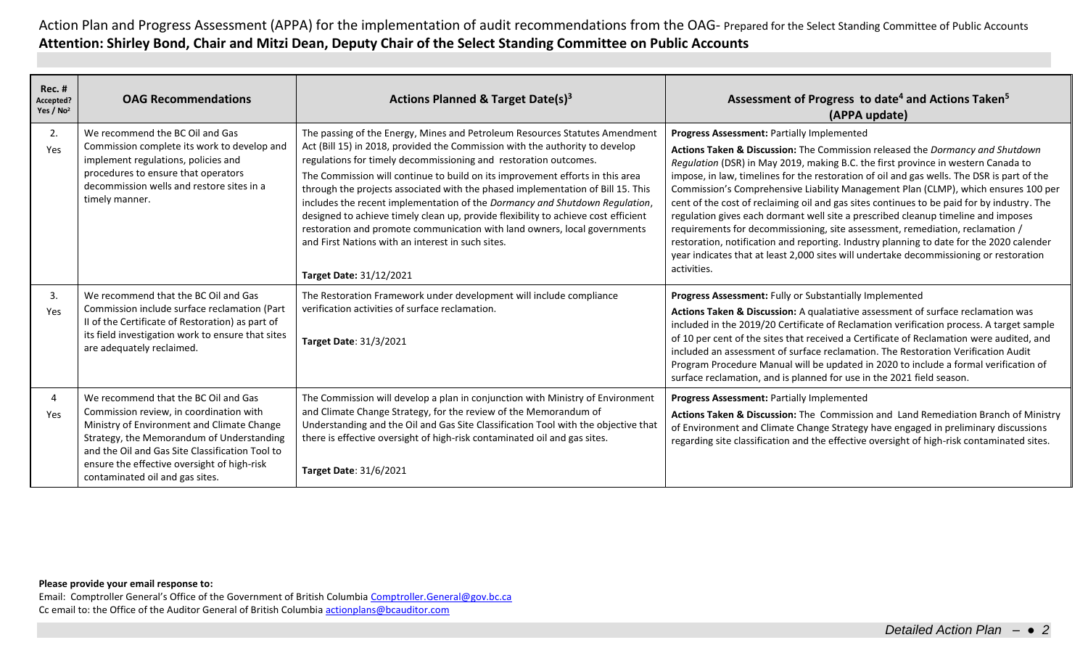| <b>Rec. #</b><br>Accepted?<br>Yes / $No2$ | <b>OAG Recommendations</b>                                                                                                                                                                                                                                                                                      | Actions Planned & Target Date(s) <sup>3</sup>                                                                                                                                                                                                                                                                                                                                                                                                                                                                                                                                                                                                                                                                                                | Assessment of Progress to date <sup>4</sup> and Actions Taken <sup>5</sup><br>(APPA update)                                                                                                                                                                                                                                                                                                                                                                                                                                                                                                                                                                                                                                                                                                                                                                                   |
|-------------------------------------------|-----------------------------------------------------------------------------------------------------------------------------------------------------------------------------------------------------------------------------------------------------------------------------------------------------------------|----------------------------------------------------------------------------------------------------------------------------------------------------------------------------------------------------------------------------------------------------------------------------------------------------------------------------------------------------------------------------------------------------------------------------------------------------------------------------------------------------------------------------------------------------------------------------------------------------------------------------------------------------------------------------------------------------------------------------------------------|-------------------------------------------------------------------------------------------------------------------------------------------------------------------------------------------------------------------------------------------------------------------------------------------------------------------------------------------------------------------------------------------------------------------------------------------------------------------------------------------------------------------------------------------------------------------------------------------------------------------------------------------------------------------------------------------------------------------------------------------------------------------------------------------------------------------------------------------------------------------------------|
| 2.<br>Yes                                 | We recommend the BC Oil and Gas<br>Commission complete its work to develop and<br>implement regulations, policies and<br>procedures to ensure that operators<br>decommission wells and restore sites in a<br>timely manner.                                                                                     | The passing of the Energy, Mines and Petroleum Resources Statutes Amendment<br>Act (Bill 15) in 2018, provided the Commission with the authority to develop<br>regulations for timely decommissioning and restoration outcomes.<br>The Commission will continue to build on its improvement efforts in this area<br>through the projects associated with the phased implementation of Bill 15. This<br>includes the recent implementation of the Dormancy and Shutdown Regulation,<br>designed to achieve timely clean up, provide flexibility to achieve cost efficient<br>restoration and promote communication with land owners, local governments<br>and First Nations with an interest in such sites.<br><b>Target Date: 31/12/2021</b> | Progress Assessment: Partially Implemented<br>Actions Taken & Discussion: The Commission released the Dormancy and Shutdown<br>Regulation (DSR) in May 2019, making B.C. the first province in western Canada to<br>impose, in law, timelines for the restoration of oil and gas wells. The DSR is part of the<br>Commission's Comprehensive Liability Management Plan (CLMP), which ensures 100 per<br>cent of the cost of reclaiming oil and gas sites continues to be paid for by industry. The<br>regulation gives each dormant well site a prescribed cleanup timeline and imposes<br>requirements for decommissioning, site assessment, remediation, reclamation /<br>restoration, notification and reporting. Industry planning to date for the 2020 calender<br>year indicates that at least 2,000 sites will undertake decommissioning or restoration<br>activities. |
| 3.<br>Yes                                 | We recommend that the BC Oil and Gas<br>Commission include surface reclamation (Part<br>II of the Certificate of Restoration) as part of<br>its field investigation work to ensure that sites<br>are adequately reclaimed.                                                                                      | The Restoration Framework under development will include compliance<br>verification activities of surface reclamation.<br>Target Date: 31/3/2021                                                                                                                                                                                                                                                                                                                                                                                                                                                                                                                                                                                             | Progress Assessment: Fully or Substantially Implemented<br>Actions Taken & Discussion: A qualatiative assessment of surface reclamation was<br>included in the 2019/20 Certificate of Reclamation verification process. A target sample<br>of 10 per cent of the sites that received a Certificate of Reclamation were audited, and<br>included an assessment of surface reclamation. The Restoration Verification Audit<br>Program Procedure Manual will be updated in 2020 to include a formal verification of<br>surface reclamation, and is planned for use in the 2021 field season.                                                                                                                                                                                                                                                                                     |
| 4<br>Yes                                  | We recommend that the BC Oil and Gas<br>Commission review, in coordination with<br>Ministry of Environment and Climate Change<br>Strategy, the Memorandum of Understanding<br>and the Oil and Gas Site Classification Tool to<br>ensure the effective oversight of high-risk<br>contaminated oil and gas sites. | The Commission will develop a plan in conjunction with Ministry of Environment<br>and Climate Change Strategy, for the review of the Memorandum of<br>Understanding and the Oil and Gas Site Classification Tool with the objective that<br>there is effective oversight of high-risk contaminated oil and gas sites.<br>Target Date: 31/6/2021                                                                                                                                                                                                                                                                                                                                                                                              | Progress Assessment: Partially Implemented<br>Actions Taken & Discussion: The Commission and Land Remediation Branch of Ministry<br>of Environment and Climate Change Strategy have engaged in preliminary discussions<br>regarding site classification and the effective oversight of high-risk contaminated sites.                                                                                                                                                                                                                                                                                                                                                                                                                                                                                                                                                          |

## **Please provide your email response to:**

Email: Comptroller General's Office of the Government of British Columbia [Comptroller.General@gov.bc.ca](mailto:Comptroller.General@gov.bc.ca) Cc email to: the Office of the Auditor General of British Columbi[a actionplans@bcauditor.com](mailto:actionplans@bcauditor.com)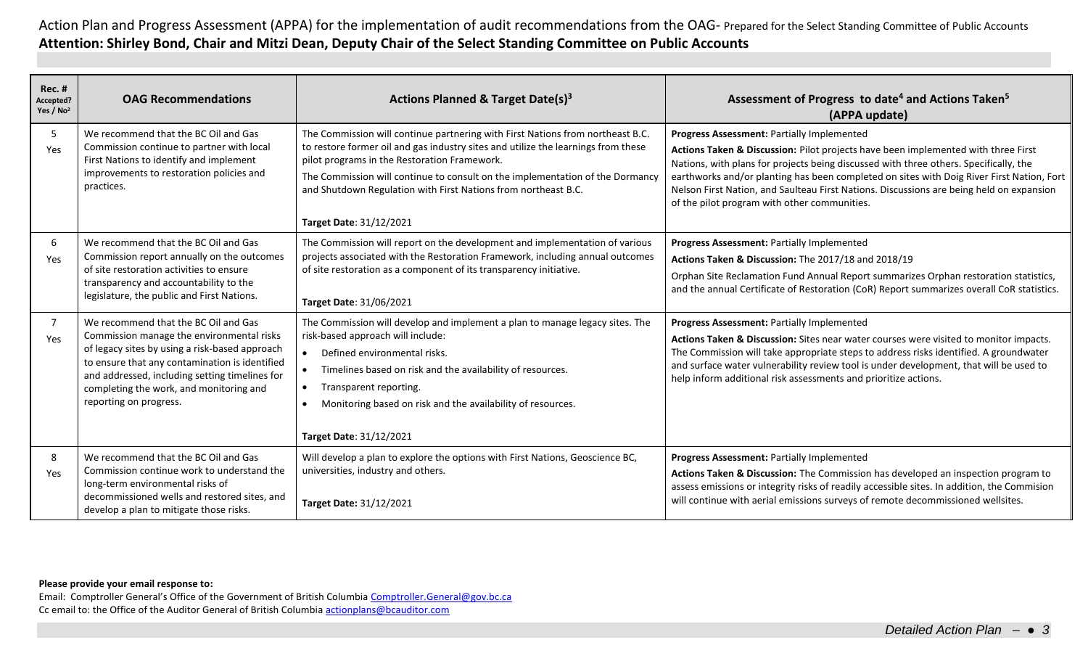| $Rec.$ #<br>Accepted?<br>Yes / $No2$ | <b>OAG Recommendations</b>                                                                                                                                                                                                                                                                                   | Actions Planned & Target Date(s) <sup>3</sup>                                                                                                                                                                                                                                                                                                                                                     | Assessment of Progress to date <sup>4</sup> and Actions Taken <sup>5</sup><br>(APPA update)                                                                                                                                                                                                                                                                                                                                                                       |
|--------------------------------------|--------------------------------------------------------------------------------------------------------------------------------------------------------------------------------------------------------------------------------------------------------------------------------------------------------------|---------------------------------------------------------------------------------------------------------------------------------------------------------------------------------------------------------------------------------------------------------------------------------------------------------------------------------------------------------------------------------------------------|-------------------------------------------------------------------------------------------------------------------------------------------------------------------------------------------------------------------------------------------------------------------------------------------------------------------------------------------------------------------------------------------------------------------------------------------------------------------|
| 5<br>Yes                             | We recommend that the BC Oil and Gas<br>Commission continue to partner with local<br>First Nations to identify and implement<br>improvements to restoration policies and<br>practices.                                                                                                                       | The Commission will continue partnering with First Nations from northeast B.C.<br>to restore former oil and gas industry sites and utilize the learnings from these<br>pilot programs in the Restoration Framework.<br>The Commission will continue to consult on the implementation of the Dormancy<br>and Shutdown Regulation with First Nations from northeast B.C.<br>Target Date: 31/12/2021 | Progress Assessment: Partially Implemented<br>Actions Taken & Discussion: Pilot projects have been implemented with three First<br>Nations, with plans for projects being discussed with three others. Specifically, the<br>earthworks and/or planting has been completed on sites with Doig River First Nation, Fort<br>Nelson First Nation, and Saulteau First Nations. Discussions are being held on expansion<br>of the pilot program with other communities. |
| 6<br>Yes                             | We recommend that the BC Oil and Gas<br>Commission report annually on the outcomes<br>of site restoration activities to ensure<br>transparency and accountability to the<br>legislature, the public and First Nations.                                                                                       | The Commission will report on the development and implementation of various<br>projects associated with the Restoration Framework, including annual outcomes<br>of site restoration as a component of its transparency initiative.<br><b>Target Date: 31/06/2021</b>                                                                                                                              | Progress Assessment: Partially Implemented<br>Actions Taken & Discussion: The 2017/18 and 2018/19<br>Orphan Site Reclamation Fund Annual Report summarizes Orphan restoration statistics,<br>and the annual Certificate of Restoration (CoR) Report summarizes overall CoR statistics.                                                                                                                                                                            |
| $\overline{7}$<br>Yes                | We recommend that the BC Oil and Gas<br>Commission manage the environmental risks<br>of legacy sites by using a risk-based approach<br>to ensure that any contamination is identified<br>and addressed, including setting timelines for<br>completing the work, and monitoring and<br>reporting on progress. | The Commission will develop and implement a plan to manage legacy sites. The<br>risk-based approach will include:<br>Defined environmental risks.<br>Timelines based on risk and the availability of resources.<br>Transparent reporting.<br>$\bullet$<br>Monitoring based on risk and the availability of resources.<br>$\bullet$<br>Target Date: 31/12/2021                                     | Progress Assessment: Partially Implemented<br>Actions Taken & Discussion: Sites near water courses were visited to monitor impacts.<br>The Commission will take appropriate steps to address risks identified. A groundwater<br>and surface water vulnerability review tool is under development, that will be used to<br>help inform additional risk assessments and prioritize actions.                                                                         |
| 8<br>Yes                             | We recommend that the BC Oil and Gas<br>Commission continue work to understand the<br>long-term environmental risks of<br>decommissioned wells and restored sites, and<br>develop a plan to mitigate those risks.                                                                                            | Will develop a plan to explore the options with First Nations, Geoscience BC,<br>universities, industry and others.<br>Target Date: 31/12/2021                                                                                                                                                                                                                                                    | Progress Assessment: Partially Implemented<br>Actions Taken & Discussion: The Commission has developed an inspection program to<br>assess emissions or integrity risks of readily accessible sites. In addition, the Commision<br>will continue with aerial emissions surveys of remote decommissioned wellsites.                                                                                                                                                 |

## **Please provide your email response to:**

Email: Comptroller General's Office of the Government of British Columbia [Comptroller.General@gov.bc.ca](mailto:Comptroller.General@gov.bc.ca) Cc email to: the Office of the Auditor General of British Columbi[a actionplans@bcauditor.com](mailto:actionplans@bcauditor.com)